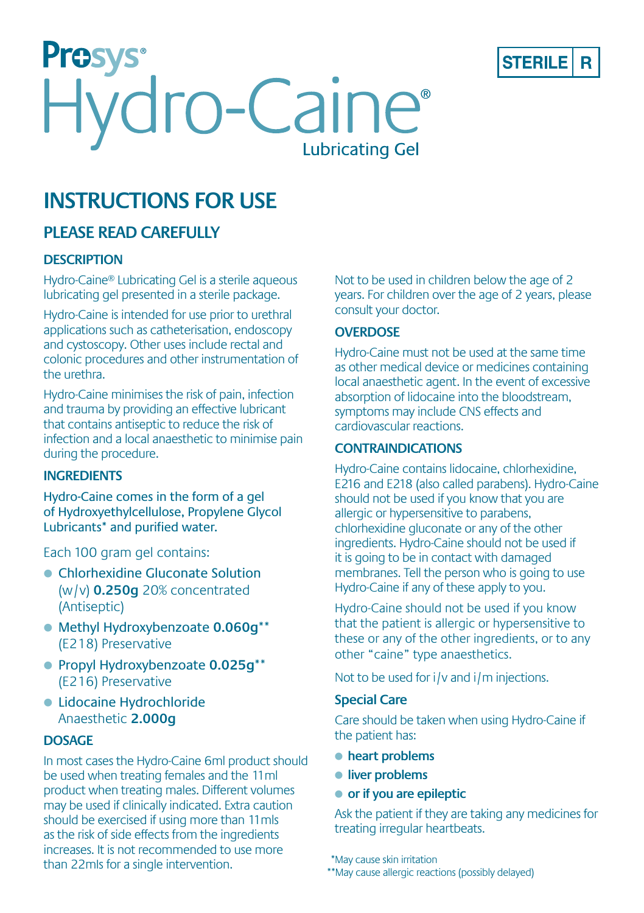



# **PLEASE READ CAREFULLY**

### **DESCRIPTION**

Hydro‑Caine® Lubricating Gel is a sterile aqueous lubricating gel presented in a sterile package.

Hydro‑Caine is intended for use prior to urethral applications such as catheterisation, endoscopy and cystoscopy. Other uses include rectal and colonic procedures and other instrumentation of the urethra.

Hydro‑Caine minimises the risk of pain, infection and trauma by providing an effective lubricant that contains antiseptic to reduce the risk of infection and a local anaesthetic to minimise pain during the procedure.

# **INGREDIENTS**

Hydro-Caine comes in the form of a gel of Hydroxyethylcellulose, Propylene Glycol Lubricants\* and purified water.

Each 100 gram gel contains:

- Chlorhexidine Gluconate Solution (w/v) **0.250g** 20% concentrated (Antiseptic)
- = Methyl Hydroxybenzoate **0.060g**\*\* (E218) Preservative
- = Propyl Hydroxybenzoate **0.025g**\*\* (E216) Preservative
- **Lidocaine Hydrochloride** Anaesthetic **2.000g**

### **DOSAGE**

In most cases the Hydro‑Caine 6ml product should be used when treating females and the 11ml product when treating males. Different volumes may be used if clinically indicated. Extra caution should be exercised if using more than 11mls as the risk of side effects from the ingredients increases. It is not recommended to use more than 22mIs for a single intervention.

Not to be used in children below the age of 2 years. For children over the age of 2 years, please consult your doctor.

**STERILE** 

R

#### **OVERDOSE**

Hydro‑Caine must not be used at the same time as other medical device or medicines containing local anaesthetic agent. In the event of excessive absorption of lidocaine into the bloodstream, symptoms may include CNS effects and cardiovascular reactions.

#### **CONTRAINDICATIONS**

Hydro‑Caine contains lidocaine, chlorhexidine, E216 and E218 (also called parabens). Hydro-Caine should not be used if you know that you are allergic or hypersensitive to parabens, chlorhexidine gluconate or any of the other ingredients. Hydro‑Caine should not be used if it is going to be in contact with damaged membranes. Tell the person who is going to use Hydro‑Caine if any of these apply to you.

Hydro-Caine should not be used if you know that the patient is allergic or hypersensitive to these or any of the other ingredients, or to any other "caine" type anaesthetics.

Not to be used for i/v and i/m injections.

#### **Special Care**

Care should be taken when using Hydro-Caine if the patient has:

- = **heart problems**
- = **liver problems**
- = **or if you are epileptic**

Ask the patient if they are taking any medicines for treating irregular heartbeats.

\*May cause skin irritation

\*\*May cause allergic reactions (possibly delayed)